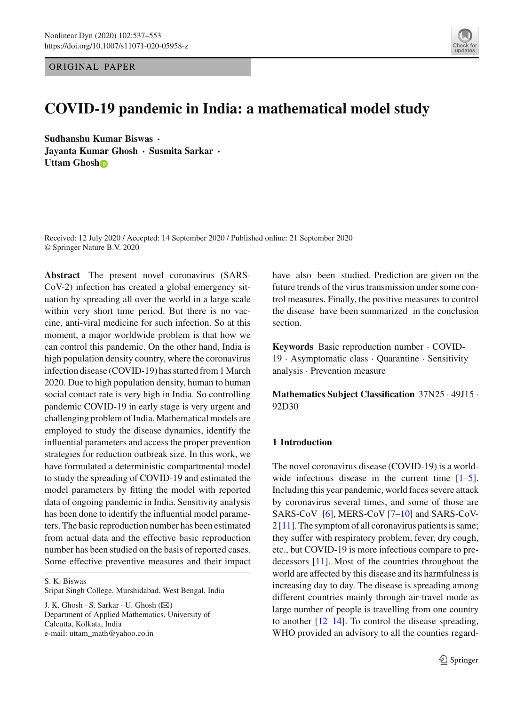ORIGINAL PAPER



# **COVID-19 pandemic in India: a mathematical model study**

**Sudhanshu Kumar Biswas** · **Jayanta Kumar Ghosh** · **Susmita Sarkar** · **Uttam Ghos[h](http://orcid.org/0000-0001-7274-7793)**

Received: 12 July 2020 / Accepted: 14 September 2020 / Published online: 21 September 2020 © Springer Nature B.V. 2020

**Abstract** The present novel coronavirus (SARS-CoV-2) infection has created a global emergency situation by spreading all over the world in a large scale within very short time period. But there is no vaccine, anti-viral medicine for such infection. So at this moment, a major worldwide problem is that how we can control this pandemic. On the other hand, India is high population density country, where the coronavirus infection disease (COVID-19) has started from 1 March 2020. Due to high population density, human to human social contact rate is very high in India. So controlling pandemic COVID-19 in early stage is very urgent and challenging problem of India.Mathematical models are employed to study the disease dynamics, identify the influential parameters and access the proper prevention strategies for reduction outbreak size. In this work, we have formulated a deterministic compartmental model to study the spreading of COVID-19 and estimated the model parameters by fitting the model with reported data of ongoing pandemic in India. Sensitivity analysis has been done to identify the influential model parameters. The basic reproduction number has been estimated from actual data and the effective basic reproduction number has been studied on the basis of reported cases. Some effective preventive measures and their impact

S. K. Biswas

Sripat Singh College, Murshidabad, West Bengal, India

J. K. Ghosh  $\cdot$  S. Sarkar  $\cdot$  U. Ghosh ( $\boxtimes$ ) Department of Applied Mathematics, University of Calcutta, Kolkata, India e-mail: uttam\_math@yahoo.co.in

have also been studied. Prediction are given on the future trends of the virus transmission under some control measures. Finally, the positive measures to control the disease have been summarized in the conclusion section.

**Keywords** Basic reproduction number · COVID-19 · Asymptomatic class · Quarantine · Sensitivity analysis · Prevention measure

**Mathematics Subject Classification** 37N25 · 49J15 · 92D30

## **1 Introduction**

The novel coronavirus disease (COVID-19) is a worldwide infectious disease in the current time  $[1-5]$ . Including this year pandemic, world faces severe attack by coronavirus several times, and some of those are SARS-CoV [\[6\]](#page-15-2), MERS-CoV [\[7](#page-15-3)[–10](#page-15-4)] and SARS-CoV-2 [\[11](#page-15-5)]. The symptom of all coronavirus patients is same; they suffer with respiratory problem, fever, dry cough, etc., but COVID-19 is more infectious compare to predecessors [\[11\]](#page-15-5). Most of the countries throughout the world are affected by this disease and its harmfulness is increasing day to day. The disease is spreading among different countries mainly through air-travel mode as large number of people is travelling from one country to another [\[12](#page-16-0)[–14](#page-16-1)]. To control the disease spreading, WHO provided an advisory to all the counties regard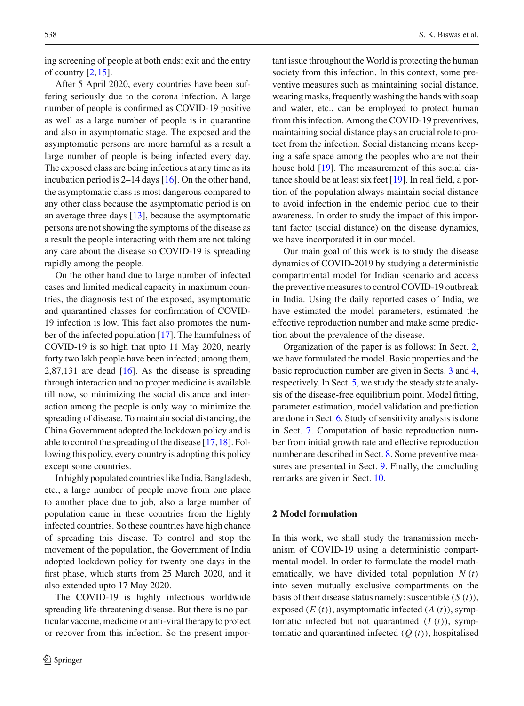ing screening of people at both ends: exit and the entry of country  $[2,15]$  $[2,15]$ .

After 5 April 2020, every countries have been suffering seriously due to the corona infection. A large number of people is confirmed as COVID-19 positive as well as a large number of people is in quarantine and also in asymptomatic stage. The exposed and the asymptomatic persons are more harmful as a result a large number of people is being infected every day. The exposed class are being infectious at any time as its incubation period is 2–14 days [\[16\]](#page-16-3). On the other hand, the asymptomatic class is most dangerous compared to any other class because the asymptomatic period is on an average three days [\[13\]](#page-16-4), because the asymptomatic persons are not showing the symptoms of the disease as a result the people interacting with them are not taking any care about the disease so COVID-19 is spreading rapidly among the people.

On the other hand due to large number of infected cases and limited medical capacity in maximum countries, the diagnosis test of the exposed, asymptomatic and quarantined classes for confirmation of COVID-19 infection is low. This fact also promotes the number of the infected population [\[17\]](#page-16-5). The harmfulness of COVID-19 is so high that upto 11 May 2020, nearly forty two lakh people have been infected; among them, 2,87,131 are dead  $[16]$ . As the disease is spreading through interaction and no proper medicine is available till now, so minimizing the social distance and interaction among the people is only way to minimize the spreading of disease. To maintain social distancing, the China Government adopted the lockdown policy and is able to control the spreading of the disease [\[17](#page-16-5)[,18](#page-16-6)]. Following this policy, every country is adopting this policy except some countries.

In highly populated countries like India, Bangladesh, etc., a large number of people move from one place to another place due to job, also a large number of population came in these countries from the highly infected countries. So these countries have high chance of spreading this disease. To control and stop the movement of the population, the Government of India adopted lockdown policy for twenty one days in the first phase, which starts from 25 March 2020, and it also extended upto 17 May 2020.

The COVID-19 is highly infectious worldwide spreading life-threatening disease. But there is no particular vaccine, medicine or anti-viral therapy to protect or recover from this infection. So the present important issue throughout the World is protecting the human society from this infection. In this context, some preventive measures such as maintaining social distance, wearing masks, frequently washing the hands with soap and water, etc., can be employed to protect human from this infection. Among the COVID-19 preventives, maintaining social distance plays an crucial role to protect from the infection. Social distancing means keeping a safe space among the peoples who are not their house hold [\[19](#page-16-7)]. The measurement of this social distance should be at least six feet [\[19](#page-16-7)]. In real field, a portion of the population always maintain social distance to avoid infection in the endemic period due to their awareness. In order to study the impact of this important factor (social distance) on the disease dynamics, we have incorporated it in our model.

Our main goal of this work is to study the disease dynamics of COVID-2019 by studying a deterministic compartmental model for Indian scenario and access the preventive measures to control COVID-19 outbreak in India. Using the daily reported cases of India, we have estimated the model parameters, estimated the effective reproduction number and make some prediction about the prevalence of the disease.

Organization of the paper is as follows: In Sect. [2,](#page-1-0) we have formulated the model. Basic properties and the basic reproduction number are given in Sects. [3](#page-2-0) and [4,](#page-3-0) respectively. In Sect. [5,](#page-5-0) we study the steady state analysis of the disease-free equilibrium point. Model fitting, parameter estimation, model validation and prediction are done in Sect. [6.](#page-5-1) Study of sensitivity analysis is done in Sect. [7.](#page-9-0) Computation of basic reproduction number from initial growth rate and effective reproduction number are described in Sect. [8.](#page-10-0) Some preventive measures are presented in Sect. [9.](#page-11-0) Finally, the concluding remarks are given in Sect. [10.](#page-14-0)

## <span id="page-1-0"></span>**2 Model formulation**

In this work, we shall study the transmission mechanism of COVID-19 using a deterministic compartmental model. In order to formulate the model mathematically, we have divided total population  $N(t)$ into seven mutually exclusive compartments on the basis of their disease status namely: susceptible (*S* (*t*)), exposed (*E* (*t*)), asymptomatic infected (*A* (*t*)), symptomatic infected but not quarantined  $(I(t))$ , symptomatic and quarantined infected (*Q* (*t*)), hospitalised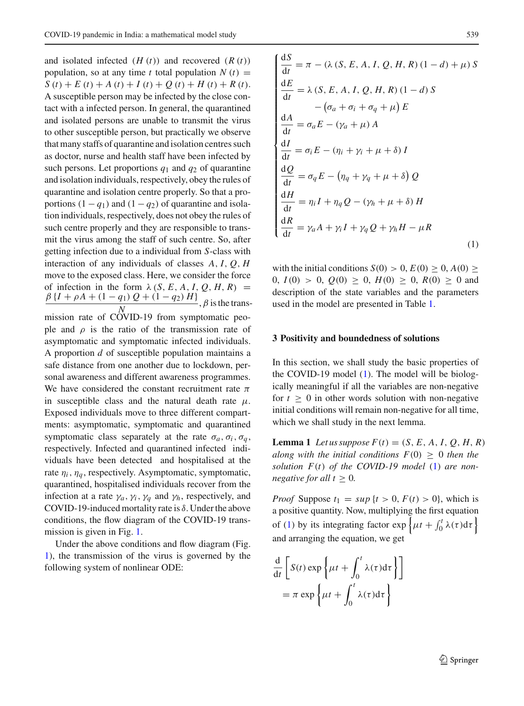and isolated infected  $(H(t))$  and recovered  $(R(t))$ population, so at any time *t* total population  $N(t)$  =  $S(t) + E(t) + A(t) + I(t) + Q(t) + H(t) + R(t).$ A susceptible person may be infected by the close contact with a infected person. In general, the quarantined and isolated persons are unable to transmit the virus to other susceptible person, but practically we observe that many staffs of quarantine and isolation centres such as doctor, nurse and health staff have been infected by such persons. Let proportions *q*<sup>1</sup> and *q*<sup>2</sup> of quarantine and isolation individuals, respectively, obey the rules of quarantine and isolation centre properly. So that a proportions  $(1 - q_1)$  and  $(1 - q_2)$  of quarantine and isolation individuals, respectively, does not obey the rules of such centre properly and they are responsible to transmit the virus among the staff of such centre. So, after getting infection due to a individual from *S*-class with interaction of any individuals of classes *A*, *I*, *Q*, *H* move to the exposed class. Here, we consider the force of infection in the form  $\lambda$  (*S*, *E*, *A*, *I*, *Q*, *H*, *R*) =  $\frac{\beta (I + \rho A + (1 - q_1) Q + (1 - q_2) H)}{\gamma}$ , β is the transmission rate of COVID-19 from symptomatic people and  $\rho$  is the ratio of the transmission rate of asymptomatic and symptomatic infected individuals. A proportion *d* of susceptible population maintains a safe distance from one another due to lockdown, personal awareness and different awareness programmes. We have considered the constant recruitment rate  $\pi$ in susceptible class and the natural death rate  $\mu$ . Exposed individuals move to three different compartments: asymptomatic, symptomatic and quarantined symptomatic class separately at the rate  $\sigma_a$ ,  $\sigma_i$ ,  $\sigma_a$ , respectively. Infected and quarantined infected individuals have been detected and hospitalised at the rate  $\eta_i$ ,  $\eta_q$ , respectively. Asymptomatic, symptomatic, quarantined, hospitalised individuals recover from the infection at a rate  $\gamma_a$ ,  $\gamma_i$ ,  $\gamma_q$  and  $\gamma_h$ , respectively, and COVID-19-induced mortality rate is  $\delta$ . Under the above conditions, the flow diagram of the COVID-19 transmission is given in Fig. [1.](#page-3-1)

Under the above conditions and flow diagram (Fig. [1\)](#page-3-1), the transmission of the virus is governed by the following system of nonlinear ODE:

$$
\begin{cases}\n\frac{dS}{dt} = \pi - (\lambda (S, E, A, I, Q, H, R) (1 - d) + \mu) S \\
\frac{dE}{dt} = \lambda (S, E, A, I, Q, H, R) (1 - d) S \\
-(\sigma_a + \sigma_i + \sigma_q + \mu) E \\
\frac{dA}{dt} = \sigma_a E - (\gamma_a + \mu) A \\
\frac{dI}{dt} = \sigma_i E - (\eta_i + \gamma_i + \mu + \delta) I \\
\frac{dQ}{dt} = \sigma_q E - (\eta_q + \gamma_q + \mu + \delta) Q \\
\frac{dH}{dt} = \eta_i I + \eta_q Q - (\gamma_h + \mu + \delta) H \\
\frac{dR}{dt} = \gamma_a A + \gamma_i I + \gamma_q Q + \gamma_h H - \mu R\n\end{cases}
$$
\n(1)

with the initial conditions  $S(0) > 0$ ,  $E(0) \ge 0$ ,  $A(0) \ge$ 0,  $I(0) > 0$ ,  $Q(0) > 0$ ,  $H(0) > 0$ ,  $R(0) > 0$  and description of the state variables and the parameters used in the model are presented in Table [1.](#page-4-0)

## <span id="page-2-0"></span>**3 Positivity and boundedness of solutions**

In this section, we shall study the basic properties of the COVID-19 model [\(1\)](#page-2-1). The model will be biologically meaningful if all the variables are non-negative for  $t \geq 0$  in other words solution with non-negative initial conditions will remain non-negative for all time, which we shall study in the next lemma.

**Lemma 1** *Let us suppose*  $F(t) = (S, E, A, I, Q, H, R)$ *along with the initial conditions*  $F(0) > 0$  *then the solution F*(*t*) *of the COVID-19 model* [\(1\)](#page-2-1) *are nonnegative for all t*  $\geq$  0*.* 

*Proof* Suppose  $t_1 = \sup\{t > 0, F(t) > 0\}$ , which is a positive quantity. Now, multiplying the first equation of [\(1\)](#page-2-1) by its integrating factor  $\exp\left\{\mu t + \int_0^t \lambda(\tau) d\tau\right\}$ and arranging the equation, we get

<span id="page-2-1"></span>
$$
\frac{d}{dt} \left[ S(t) \exp \left\{ \mu t + \int_0^t \lambda(\tau) d\tau \right\} \right]
$$

$$
= \pi \exp \left\{ \mu t + \int_0^t \lambda(\tau) d\tau \right\}
$$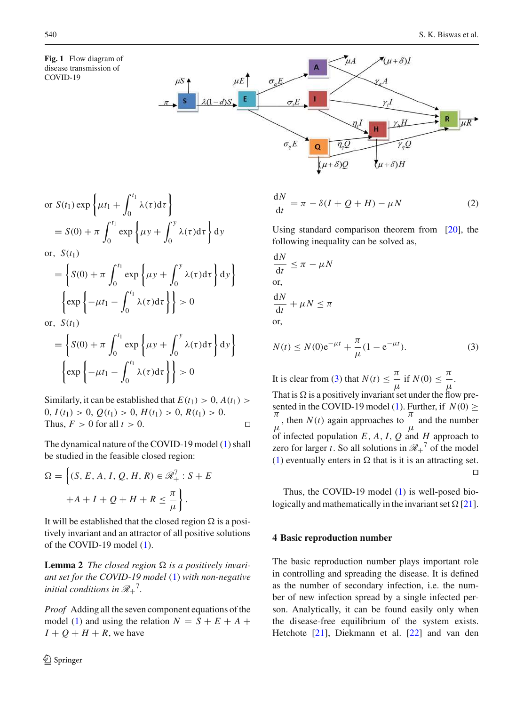<span id="page-3-1"></span>**Fig. 1** Flow diagram of disease transmission of COVID-19



or 
$$
S(t_1) \exp \left\{ \mu t_1 + \int_0^{t_1} \lambda(\tau) d\tau \right\}
$$
  
=  $S(0) + \pi \int_0^{t_1} \exp \left\{ \mu y + \int_0^y \lambda(\tau) d\tau \right\} dy$ 

or,  $S(t_1)$ 

$$
= \left\{ S(0) + \pi \int_0^{t_1} \exp \left\{ \mu y + \int_0^y \lambda(\tau) d\tau \right\} dy
$$

$$
\left\{ \exp \left\{ -\mu t_1 - \int_0^{t_1} \lambda(\tau) d\tau \right\} \right\} > 0
$$

or,  $S(t_1)$ 

$$
= \left\{ S(0) + \pi \int_0^{t_1} \exp \left\{ \mu y + \int_0^y \lambda(\tau) d\tau \right\} dy \right\}
$$

$$
\left\{ \exp \left\{ -\mu t_1 - \int_0^{t_1} \lambda(\tau) d\tau \right\} \right\} > 0
$$

Similarly, it can be established that  $E(t_1) > 0$ ,  $A(t_1) >$ 0, *I*(*t*1) > 0, *Q*(*t*1) > 0, *H*(*t*1) > 0, *R*(*t*1) > 0. Thus,  $F > 0$  for all  $t > 0$ . □

The dynamical nature of the COVID-19 model [\(1\)](#page-2-1) shall be studied in the feasible closed region:

$$
\Omega = \left\{ (S, E, A, I, Q, H, R) \in \mathcal{R}_+^7 : S + E
$$

$$
+A + I + Q + H + R \leq \frac{\pi}{\mu} \right\}.
$$

It will be established that the closed region  $\Omega$  is a positively invariant and an attractor of all positive solutions of the COVID-19 model [\(1\)](#page-2-1).

**Lemma 2** *The closed region*  $\Omega$  *is a positively invariant set for the COVID-19 model* [\(1\)](#page-2-1) *with non-negative initial conditions in*  $\mathcal{R}_+$ <sup>7</sup>.

*Proof* Adding all the seven component equations of the model [\(1\)](#page-2-1) and using the relation  $N = S + E + A +$  $I + O + H + R$ , we have

$$
\frac{dN}{dt} = \pi - \delta(I + Q + H) - \mu N \tag{2}
$$

Using standard comparison theorem from [\[20](#page-16-8)], the following inequality can be solved as,

$$
\frac{dN}{dt} \le \pi - \mu N
$$
  
or,  

$$
\frac{dN}{dt} + \mu N \le \pi
$$
  
or,

 $\mathbf{I}$ 

<span id="page-3-2"></span>
$$
N(t) \le N(0)e^{-\mu t} + \frac{\pi}{\mu}(1 - e^{-\mu t}).
$$
\n(3)

It is clear from [\(3\)](#page-3-2) that  $N(t) \leq \frac{\pi}{t}$  $\frac{\pi}{\mu}$  if  $N(0) \leq \frac{\pi}{\mu}$  $\frac{1}{\mu}$ . That is  $\Omega$  is a positively invariant set under the flow pre-sented in the COVID-19 model [\(1\)](#page-2-1). Further, if  $N(0) \ge$ π  $\frac{\pi}{\mu}$ , then *N*(*t*) again approaches to  $\frac{\pi}{\mu}$  $\frac{1}{\mu}$  and the number of infected population  $E$ ,  $A$ ,  $I$ ,  $Q$  and  $H$  approach to zero for larger *t*. So all solutions in  $\mathcal{R}_+^7$  of the model [\(1\)](#page-2-1) eventually enters in  $\Omega$  that is it is an attracting set. ⊓⊔

Thus, the COVID-19 model [\(1\)](#page-2-1) is well-posed biologically and mathematically in the invariant set  $\Omega$  [\[21](#page-16-9)].

## <span id="page-3-0"></span>**4 Basic reproduction number**

The basic reproduction number plays important role in controlling and spreading the disease. It is defined as the number of secondary infection, i.e. the number of new infection spread by a single infected person. Analytically, it can be found easily only when the disease-free equilibrium of the system exists. Hetchote [\[21](#page-16-9)], Diekmann et al. [\[22\]](#page-16-10) and van den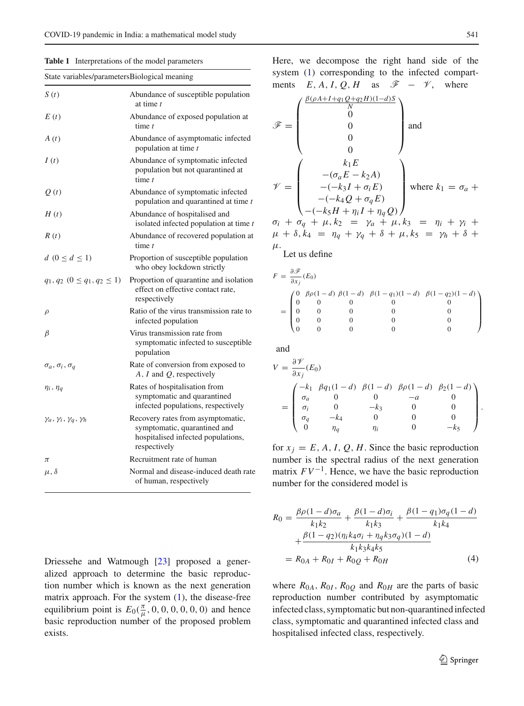<span id="page-4-0"></span>**Table 1** Interpretations of the model parameters

| S(t)                                     | Abundance of susceptible population<br>at time t                                                                        |  |  |
|------------------------------------------|-------------------------------------------------------------------------------------------------------------------------|--|--|
| E(t)                                     | Abundance of exposed population at<br>time t                                                                            |  |  |
| A(t)                                     | Abundance of asymptomatic infected<br>population at time t                                                              |  |  |
| I(t)                                     | Abundance of symptomatic infected<br>population but not quarantined at<br>time $t$                                      |  |  |
| Q(t)                                     | Abundance of symptomatic infected<br>population and quarantined at time t                                               |  |  |
| H(t)                                     | Abundance of hospitalised and<br>isolated infected population at time $t$                                               |  |  |
| R(t)                                     | Abundance of recovered population at<br>time $t$                                                                        |  |  |
| $d (0 \leq d \leq 1)$                    | Proportion of susceptible population<br>who obey lockdown strictly                                                      |  |  |
| $q_1, q_2$ $(0 \leq q_1, q_2 \leq 1)$    | Proportion of quarantine and isolation<br>effect on effective contact rate,<br>respectively                             |  |  |
| $\rho$                                   | Ratio of the virus transmission rate to<br>infected population                                                          |  |  |
| $\beta$                                  | Virus transmission rate from<br>symptomatic infected to susceptible<br>population                                       |  |  |
| $\sigma_a$ , $\sigma_i$ , $\sigma_q$     | Rate of conversion from exposed to<br>$A, I$ and $Q$ , respectively                                                     |  |  |
| $\eta_i$ , $\eta_q$                      | Rates of hospitalisation from<br>symptomatic and quarantined<br>infected populations, respectively                      |  |  |
| $\gamma_a, \gamma_i, \gamma_q, \gamma_h$ | Recovery rates from asymptomatic,<br>symptomatic, quarantined and<br>hospitalised infected populations,<br>respectively |  |  |
| π                                        | Recruitment rate of human                                                                                               |  |  |
| $\mu, \delta$                            | Normal and disease-induced death rate<br>of human, respectively                                                         |  |  |

Driessehe and Watmough [\[23\]](#page-16-11) proposed a generalized approach to determine the basic reproduction number which is known as the next generation matrix approach. For the system  $(1)$ , the disease-free equilibrium point is  $E_0(\frac{\pi}{\mu}, 0, 0, 0, 0, 0, 0)$  and hence basic reproduction number of the proposed problem exists.

Here, we decompose the right hand side of the system [\(1\)](#page-2-1) corresponding to the infected compartments  $E, A, I, Q, H$  as  $\mathscr{F} - \mathscr{V}$ , where

$$
\mathcal{F} = \begin{pmatrix} \frac{\beta(\rho A + I + q_1 Q + q_2 H)(1 - d)S}{N} \\ 0 \\ 0 \\ 0 \\ 0 \end{pmatrix} \text{ and }
$$

$$
\mathcal{V} = \begin{pmatrix} k_1 E \\ -(\sigma_a E - k_2 A) \\ -(-k_3 I + \sigma_i E) \\ -(-k_4 Q + \sigma_q E) \\ -(-k_5 H + \eta_i I + \eta_q Q) \end{pmatrix} \text{ where } k_1 = \sigma_a +
$$

 $\sigma_i + \sigma_q + \mu, k_2 = \gamma_a + \mu, k_3 = \eta_i + \gamma_i +$  $\mu + \delta, k_4 = \eta_q + \gamma_q + \delta + \mu, k_5 = \gamma_h + \delta +$ μ.

Let us define

$$
F = \frac{\partial \mathcal{F}}{\partial x_j}(E_0)
$$
  
= 
$$
\begin{pmatrix} 0 & \beta \rho (1-d) & \beta (1-d) & \beta (1-q_1)(1-d) & \beta (1-q_2)(1-d) \\ 0 & 0 & 0 & 0 & 0 \\ 0 & 0 & 0 & 0 & 0 \\ 0 & 0 & 0 & 0 & 0 \\ 0 & 0 & 0 & 0 & 0 \end{pmatrix}
$$

and

$$
V = \frac{\partial \mathcal{V}}{\partial x_j}(E_0)
$$
  
= 
$$
\begin{pmatrix} -k_1 & \beta q_1(1-d) & \beta(1-d) & \beta \rho(1-d) & \beta_2(1-d) \\ \sigma_a & 0 & 0 & -a & 0 \\ \sigma_i & 0 & -k_3 & 0 & 0 \\ \sigma_q & -k_4 & 0 & 0 & 0 \\ 0 & \eta_q & \eta_i & 0 & -k_5 \end{pmatrix}.
$$

for  $x_i = E$ , A, I, Q, H. Since the basic reproduction number is the spectral radius of the next generation matrix  $FV^{-1}$ . Hence, we have the basic reproduction number for the considered model is

<span id="page-4-1"></span>
$$
R_0 = \frac{\beta \rho (1 - d)\sigma_a}{k_1 k_2} + \frac{\beta (1 - d)\sigma_i}{k_1 k_3} + \frac{\beta (1 - q_1)\sigma_q (1 - d)}{k_1 k_4} + \frac{\beta (1 - q_2)(\eta_i k_4 \sigma_i + \eta_q k_3 \sigma_q)(1 - d)}{k_1 k_3 k_4 k_5}
$$
  
=  $R_{0A} + R_{0I} + R_{0Q} + R_{0H}$  (4)

where  $R_{0A}$ ,  $R_{0I}$ ,  $R_{0Q}$  and  $R_{0H}$  are the parts of basic reproduction number contributed by asymptomatic infected class, symptomatic but non-quarantined infected class, symptomatic and quarantined infected class and hospitalised infected class, respectively.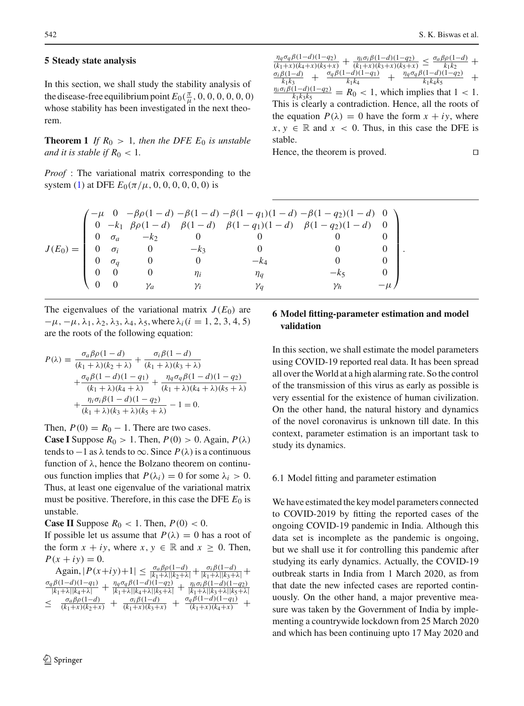#### <span id="page-5-0"></span>**5 Steady state analysis**

In this section, we shall study the stability analysis of the disease-free equilibrium point  $E_0(\frac{\pi}{\mu}, 0, 0, 0, 0, 0, 0)$ whose stability has been investigated in the next theorem.

**Theorem 1** *If*  $R_0 > 1$ *, then the DFE*  $E_0$  *is unstable and it is stable if*  $R_0 < 1$ *.* 

*Proof* : The variational matrix corresponding to the system [\(1\)](#page-2-1) at DFE  $E_0(\pi/\mu, 0, 0, 0, 0, 0, 0)$  is

η*q*σ*q*β(1−*d*)(1−*q*2)  $\frac{h_1a_2b_1b_1a_2b_2}{(k_1+x)(k_4+x)(k_5+x)} + \frac{h_1b_1b_1b_1a_2b_2}{(k_1+x)(k_3+x)(k_5+x)} \le$  $\eta_i \sigma_i \beta(1-d)(1-q_2)$  $\frac{\sigma_a \beta \rho (1-d)}{k_1 k_2} +$  $k_1k_2$  $\frac{\sigma_i \beta (1-d)}{k_1 k_3}$  +  $\frac{b_i p(1-a)}{k_1 k_3}$  +  $\frac{d_i p(1-a)(1-q_1)}{k_1 k_4}$  +  $\frac{n_i \sigma_i \beta(1-d)(1-q_2)}{k_1 k_4 k_5}$  $\frac{\sigma_q \beta (1-d)(1-q_1)}{k_1 k_4}$  $\frac{\eta_q \sigma_q \beta (1-d)(1-q_2)}{k_1 k_4 k_5}$ +  $\frac{(1-a)(1-q_2)}{k_1k_3k_5} = R_0 < 1$ , which implies that  $1 < 1$ . This is clearly a contradiction. Hence, all the roots of the equation  $P(\lambda) = 0$  have the form  $x + iy$ , where  $x, y \in \mathbb{R}$  and  $x < 0$ . Thus, in this case the DFE is stable.

Hence, the theorem is proved. □

|            |            |        |            | $\begin{array}{ccc}\n(-\mu & 0 & -\beta \rho (1-d) - \beta (1-d) - \beta (1-q_1)(1-d) - \beta (1-q_2)(1-d) & 0 \\ 0 & -k_1 & \beta \rho (1-d) & \beta (1-d) & \beta (1-q_1)(1-d) & \beta (1-q_2)(1-d) & 0\n\end{array}$ |    |  |
|------------|------------|--------|------------|-------------------------------------------------------------------------------------------------------------------------------------------------------------------------------------------------------------------------|----|--|
|            |            | $-k_2$ |            |                                                                                                                                                                                                                         |    |  |
| $J(E_0) =$ | $\sigma_i$ |        | $-k_3$     |                                                                                                                                                                                                                         |    |  |
|            | $\sigma_a$ |        |            |                                                                                                                                                                                                                         |    |  |
|            |            |        | $\eta_i$   |                                                                                                                                                                                                                         |    |  |
|            |            |        | $\gamma_i$ |                                                                                                                                                                                                                         | Υh |  |
|            |            |        |            |                                                                                                                                                                                                                         |    |  |

The eigenvalues of the variational matrix  $J(E_0)$  are  $-\mu$ ,  $-\mu$ ,  $\lambda_1$ ,  $\lambda_2$ ,  $\lambda_3$ ,  $\lambda_4$ ,  $\lambda_5$ , where  $\lambda_i$  (*i* = 1, 2, 3, 4, 5) are the roots of the following equation:

$$
P(\lambda) = \frac{\sigma_a \beta \rho (1 - d)}{(k_1 + \lambda)(k_2 + \lambda)} + \frac{\sigma_i \beta (1 - d)}{(k_1 + \lambda)(k_3 + \lambda)}
$$
  
+ 
$$
\frac{\sigma_q \beta (1 - d)(1 - q_1)}{(k_1 + \lambda)(k_4 + \lambda)} + \frac{\eta_q \sigma_q \beta (1 - d)(1 - q_2)}{(k_1 + \lambda)(k_4 + \lambda)(k_5 + \lambda)}
$$
  
+ 
$$
\frac{\eta_i \sigma_i \beta (1 - d)(1 - q_2)}{(k_1 + \lambda)(k_3 + \lambda)(k_5 + \lambda)} - 1 = 0.
$$

Then,  $P(0) = R_0 - 1$ . There are two cases.

**Case I** Suppose  $R_0 > 1$ . Then,  $P(0) > 0$ . Again,  $P(\lambda)$ tends to  $-1$  as  $\lambda$  tends to  $\infty$ . Since  $P(\lambda)$  is a continuous function of  $\lambda$ , hence the Bolzano theorem on continuous function implies that  $P(\lambda_i) = 0$  for some  $\lambda_i > 0$ . Thus, at least one eigenvalue of the variational matrix must be positive. Therefore, in this case the DFE  $E_0$  is unstable.

**Case II** Suppose  $R_0 < 1$ . Then,  $P(0) < 0$ .

If possible let us assume that  $P(\lambda) = 0$  has a root of the form  $x + iy$ , where  $x, y \in \mathbb{R}$  and  $x \ge 0$ . Then,  $P(x + iy) = 0.$ 

 $\text{Again, } |P(x+iy)+1| \leq \frac{\sigma_a \beta \rho(1-d)}{|k_1+\lambda||k_2+\lambda|} + \frac{\sigma_i \beta(1-d)}{|k_1+\lambda||k_3+\lambda|} +$ σ*q*β(1−*d*)(1−*q*1)  $|k_1+\lambda||k_4+\lambda|$  $\frac{\eta_q \sigma_q \beta(1-d)(1-q_2)}{|k_1 + \lambda||k_4 + \lambda||k_5 + \lambda|}$  +  $\frac{\eta_i \sigma_i \beta(1-d)(1-q_2)}{|k_1 + \lambda||k_3 + \lambda||k_5 + \lambda|}$ |*k*1+λ||*k*3+λ||*k*5+λ| ≤  $\frac{\sigma_a \beta \rho(1-d)}{(k_1+x)(k_2+x)} + \frac{\sigma_i \beta(1-d)}{(k_1+x)(k_3+x)} + \frac{\sigma_q \beta(1-d)(1-q_1)}{(k_1+x)(k_4+x)} +$ 

## <span id="page-5-1"></span>**6 Model fitting-parameter estimation and model validation**

In this section, we shall estimate the model parameters using COVID-19 reported real data. It has been spread all over the World at a high alarming rate. So the control of the transmission of this virus as early as possible is very essential for the existence of human civilization. On the other hand, the natural history and dynamics of the novel coronavirus is unknown till date. In this context, parameter estimation is an important task to study its dynamics.

## 6.1 Model fitting and parameter estimation

We have estimated the key model parameters connected to COVID-2019 by fitting the reported cases of the ongoing COVID-19 pandemic in India. Although this data set is incomplete as the pandemic is ongoing, but we shall use it for controlling this pandemic after studying its early dynamics. Actually, the COVID-19 outbreak starts in India from 1 March 2020, as from that date the new infected cases are reported continuously. On the other hand, a major preventive measure was taken by the Government of India by implementing a countrywide lockdown from 25 March 2020 and which has been continuing upto 17 May 2020 and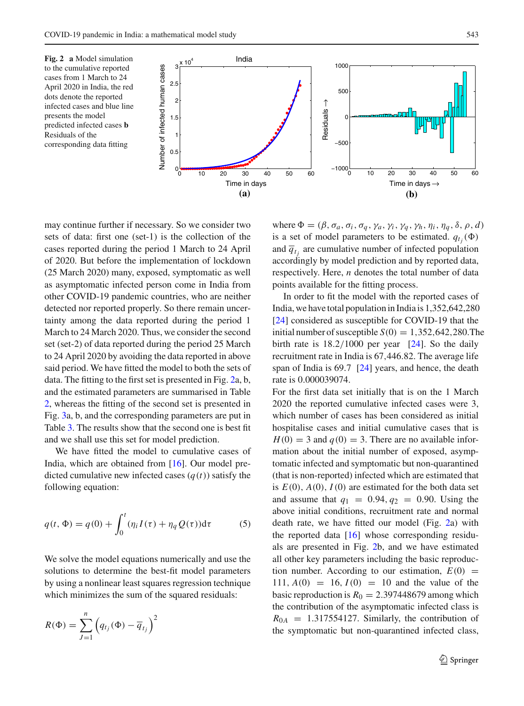<span id="page-6-0"></span>



may continue further if necessary. So we consider two sets of data: first one (set-1) is the collection of the cases reported during the period 1 March to 24 April of 2020. But before the implementation of lockdown (25 March 2020) many, exposed, symptomatic as well as asymptomatic infected person come in India from other COVID-19 pandemic countries, who are neither detected nor reported properly. So there remain uncertainty among the data reported during the period 1 March to 24 March 2020. Thus, we consider the second set (set-2) of data reported during the period 25 March to 24 April 2020 by avoiding the data reported in above said period. We have fitted the model to both the sets of data. The fitting to the first set is presented in Fig. [2a](#page-6-0), b, and the estimated parameters are summarised in Table [2,](#page-7-0) whereas the fitting of the second set is presented in Fig. [3a](#page-8-0), b, and the corresponding parameters are put in Table [3.](#page-7-1) The results show that the second one is best fit and we shall use this set for model prediction.

<span id="page-6-1"></span>We have fitted the model to cumulative cases of India, which are obtained from [\[16\]](#page-16-3). Our model predicted cumulative new infected cases  $(q(t))$  satisfy the following equation:

$$
q(t, \Phi) = q(0) + \int_0^t (\eta_i I(\tau) + \eta_q Q(\tau)) d\tau
$$
 (5)

We solve the model equations numerically and use the solutions to determine the best-fit model parameters by using a nonlinear least squares regression technique which minimizes the sum of the squared residuals:

$$
R(\Phi) = \sum_{J=1}^{n} \left( q_{t_j}(\Phi) - \overline{q}_{t_j} \right)^2
$$

where  $\Phi = (\beta, \sigma_a, \sigma_i, \sigma_q, \gamma_a, \gamma_i, \gamma_q, \gamma_h, \eta_i, \eta_q, \delta, \rho, d)$ is a set of model parameters to be estimated.  $q_{tj}(\Phi)$ and  $\overline{q}_{t_j}$  are cumulative number of infected population accordingly by model prediction and by reported data, respectively. Here, *n* denotes the total number of data points available for the fitting process.

In order to fit the model with the reported cases of India, we have total population in India is 1,352,642,280 [\[24\]](#page-16-12) considered as susceptible for COVID-19 that the initial number of susceptible  $S(0) = 1,352,642,280$ . The birth rate is  $18.2/1000$  per year [\[24](#page-16-12)]. So the daily recruitment rate in India is 67,446.82. The average life span of India is 69.7 [\[24\]](#page-16-12) years, and hence, the death rate is 0.000039074.

For the first data set initially that is on the 1 March 2020 the reported cumulative infected cases were 3, which number of cases has been considered as initial hospitalise cases and initial cumulative cases that is  $H(0) = 3$  and  $q(0) = 3$ . There are no available information about the initial number of exposed, asymptomatic infected and symptomatic but non-quarantined (that is non-reported) infected which are estimated that is  $E(0)$ ,  $A(0)$ ,  $I(0)$  are estimated for the both data set and assume that  $q_1 = 0.94, q_2 = 0.90$ . Using the above initial conditions, recruitment rate and normal death rate, we have fitted our model (Fig. [2a](#page-6-0)) with the reported data [\[16](#page-16-3)] whose corresponding residuals are presented in Fig. [2b](#page-6-0), and we have estimated all other key parameters including the basic reproduction number. According to our estimation,  $E(0)$  = 111,  $A(0) = 16$ ,  $I(0) = 10$  and the value of the basic reproduction is  $R_0 = 2.397448679$  among which the contribution of the asymptomatic infected class is  $R_{0A}$  = 1.317554127. Similarly, the contribution of the symptomatic but non-quarantined infected class,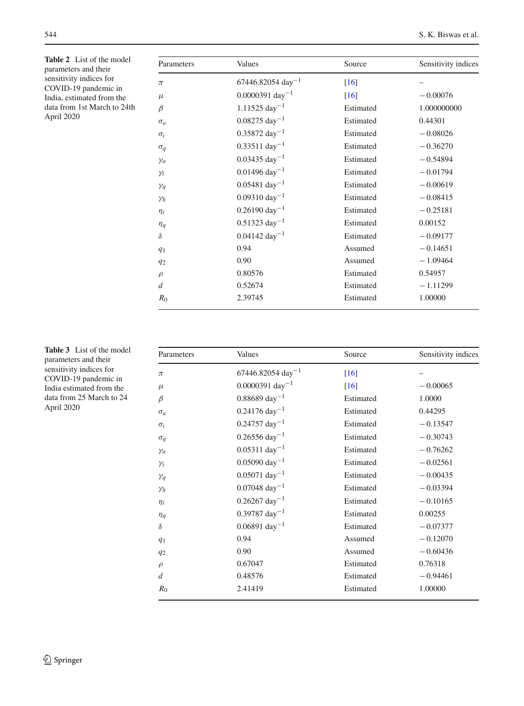<span id="page-7-0"></span>**Table 2** List of the model parameters and their sensitivity indices for COVID-19 pandemic in India, estimated from the data from 1st March to 24th April 2020

| Parameters     | Values                          | Source    | Sensitivity indices |  |
|----------------|---------------------------------|-----------|---------------------|--|
| $\pi$          | $67446.82054$ day <sup>-1</sup> | $[16]$    |                     |  |
| $\mu$          | $0.0000391 \text{ day}^{-1}$    | [16]      | $-0.00076$          |  |
| β              | $1.11525 \text{ day}^{-1}$      | Estimated | 1.000000000         |  |
| $\sigma_a$     | $0.08275 \text{ day}^{-1}$      | Estimated | 0.44301             |  |
| $\sigma_i$     | $0.35872 \text{ day}^{-1}$      | Estimated | $-0.08026$          |  |
| $\sigma_q$     | $0.33511 \text{ day}^{-1}$      | Estimated | $-0.36270$          |  |
| $\gamma_a$     | $0.03435 \text{ day}^{-1}$      | Estimated | $-0.54894$          |  |
| $\gamma_i$     | $0.01496 \text{ day}^{-1}$      | Estimated | $-0.01794$          |  |
| $\gamma_q$     | $0.05481 \text{ day}^{-1}$      | Estimated | $-0.00619$          |  |
| $\gamma_h$     | $0.09310 \text{ day}^{-1}$      | Estimated | $-0.08415$          |  |
| $\eta_i$       | $0.26190 \text{ day}^{-1}$      | Estimated | $-0.25181$          |  |
| $\eta_q$       | $0.51323 \text{ day}^{-1}$      | Estimated | 0.00152             |  |
| $\delta$       | $0.04142 \text{ day}^{-1}$      | Estimated | $-0.09177$          |  |
| q <sub>1</sub> | 0.94                            | Assumed   | $-0.14651$          |  |
| $q_2$          | 0.90                            | Assumed   | $-1.09464$          |  |
| $\rho$         | 0.80576                         | Estimated | 0.54957             |  |
| d              | 0.52674                         | Estimated | $-1.11299$          |  |
| $R_0$          | 2.39745                         | Estimated | 1.00000             |  |

<span id="page-7-1"></span>**Table 3** List of the model parameters and their sensitivity indices for COVID-19 pandemic in India estimated from the data from 25 March to 24 April 2020

| Parameters     | Values                          | Source    | Sensitivity indices |  |
|----------------|---------------------------------|-----------|---------------------|--|
| $\pi$          | $67446.82054$ day <sup>-1</sup> | $[16]$    |                     |  |
| $\mu$          | $0.0000391 \text{ day}^{-1}$    | $[16]$    | $-0.00065$          |  |
| β              | $0.88689 \text{ day}^{-1}$      | Estimated | 1.0000              |  |
| $\sigma_a$     | $0.24176 \text{ day}^{-1}$      | Estimated | 0.44295             |  |
| $\sigma_i$     | $0.24757 \text{ day}^{-1}$      | Estimated | $-0.13547$          |  |
| $\sigma_q$     | $0.26556 \text{ day}^{-1}$      | Estimated | $-0.30743$          |  |
| $\gamma_a$     | $0.05311 \text{ day}^{-1}$      | Estimated | $-0.76262$          |  |
| $\gamma_i$     | $0.05090 \text{ day}^{-1}$      | Estimated | $-0.02561$          |  |
| $\gamma_q$     | $0.05071 \text{ day}^{-1}$      | Estimated | $-0.00435$          |  |
| $\gamma_h$     | $0.07048 \text{ day}^{-1}$      | Estimated | $-0.03394$          |  |
| $\eta_i$       | $0.26267 \text{ day}^{-1}$      | Estimated | $-0.10165$          |  |
| $\eta_q$       | $0.39787 \text{ day}^{-1}$      | Estimated | 0.00255             |  |
| $\delta$       | $0.06891 \text{ day}^{-1}$      | Estimated | $-0.07377$          |  |
| q <sub>1</sub> | 0.94                            | Assumed   | $-0.12070$          |  |
| $q_2$          | 0.90                            | Assumed   | $-0.60436$          |  |
| $\rho$         | 0.67047                         | Estimated | 0.76318             |  |
| d              | 0.48576                         | Estimated | $-0.94461$          |  |
| $R_0$          | 2.41419                         | Estimated | 1.00000             |  |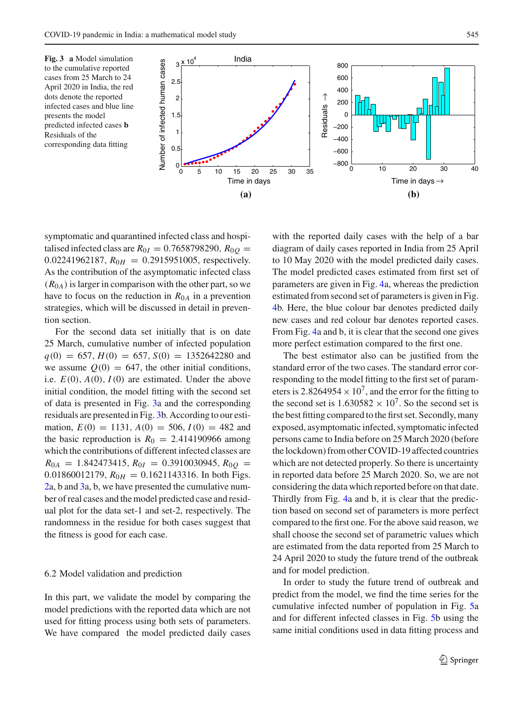<span id="page-8-0"></span>



symptomatic and quarantined infected class and hospitalised infected class are  $R_{0I} = 0.7658798290$ ,  $R_{0O} =$ 0.02241962187,  $R_{0H} = 0.2915951005$ , respectively. As the contribution of the asymptomatic infected class  $(R<sub>0A</sub>)$  is larger in comparison with the other part, so we have to focus on the reduction in  $R_{0A}$  in a prevention strategies, which will be discussed in detail in prevention section.

For the second data set initially that is on date 25 March, cumulative number of infected population  $q(0) = 657, H(0) = 657, S(0) = 1352642280$  and we assume  $Q(0) = 647$ , the other initial conditions, i.e.  $E(0)$ ,  $A(0)$ ,  $I(0)$  are estimated. Under the above initial condition, the model fitting with the second set of data is presented in Fig. [3a](#page-8-0) and the corresponding residuals are presented in Fig. [3b](#page-8-0). According to our estimation,  $E(0) = 1131$ ,  $A(0) = 506$ ,  $I(0) = 482$  and the basic reproduction is  $R_0 = 2.414190966$  among which the contributions of different infected classes are  $R_{0A}$  = 1.842473415,  $R_{0I}$  = 0.3910030945,  $R_{0Q}$  = 0.01860012179,  $R_{0H} = 0.1621143316$ . In both Figs. [2a](#page-6-0), b and [3a](#page-8-0), b, we have presented the cumulative number of real cases and the model predicted case and residual plot for the data set-1 and set-2, respectively. The randomness in the residue for both cases suggest that the fitness is good for each case.

#### 6.2 Model validation and prediction

In this part, we validate the model by comparing the model predictions with the reported data which are not used for fitting process using both sets of parameters. We have compared the model predicted daily cases

with the reported daily cases with the help of a bar diagram of daily cases reported in India from 25 April to 10 May 2020 with the model predicted daily cases. The model predicted cases estimated from first set of parameters are given in Fig. [4a](#page-9-1), whereas the prediction estimated from second set of parameters is given in Fig. [4b](#page-9-1). Here, the blue colour bar denotes predicted daily new cases and red colour bar denotes reported cases. From Fig. [4a](#page-9-1) and b, it is clear that the second one gives more perfect estimation compared to the first one.

The best estimator also can be justified from the standard error of the two cases. The standard error corresponding to the model fitting to the first set of parameters is 2.8264954  $\times$  10<sup>7</sup>, and the error for the fitting to the second set is  $1.630582 \times 10^7$ . So the second set is the best fitting compared to the first set. Secondly, many exposed, asymptomatic infected, symptomatic infected persons came to India before on 25 March 2020 (before the lockdown) from other COVID-19 affected countries which are not detected properly. So there is uncertainty in reported data before 25 March 2020. So, we are not considering the data which reported before on that date. Thirdly from Fig. [4a](#page-9-1) and b, it is clear that the prediction based on second set of parameters is more perfect compared to the first one. For the above said reason, we shall choose the second set of parametric values which are estimated from the data reported from 25 March to 24 April 2020 to study the future trend of the outbreak and for model prediction.

In order to study the future trend of outbreak and predict from the model, we find the time series for the cumulative infected number of population in Fig. [5a](#page-9-2) and for different infected classes in Fig. [5b](#page-9-2) using the same initial conditions used in data fitting process and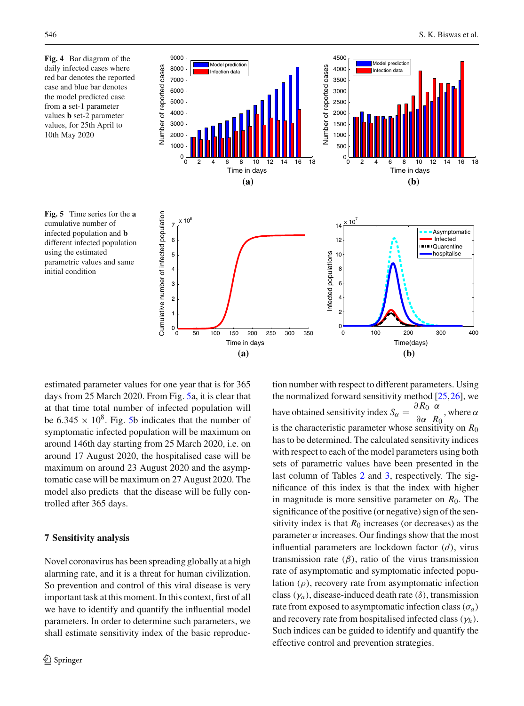<span id="page-9-1"></span>**Fig. 4** Bar diagram of the daily infected cases where red bar denotes the reported case and blue bar denotes the model predicted case from **a** set-1 parameter values **b** set-2 parameter values, for 25th April to 10th May 2020





<span id="page-9-2"></span>

estimated parameter values for one year that is for 365 days from 25 March 2020. From Fig. [5a](#page-9-2), it is clear that at that time total number of infected population will be 6.345  $\times$  10<sup>8</sup>. Fig. [5b](#page-9-2) indicates that the number of symptomatic infected population will be maximum on around 146th day starting from 25 March 2020, i.e. on around 17 August 2020, the hospitalised case will be maximum on around 23 August 2020 and the asymptomatic case will be maximum on 27 August 2020. The model also predicts that the disease will be fully controlled after 365 days.

## <span id="page-9-0"></span>**7 Sensitivity analysis**

Novel coronavirus has been spreading globally at a high alarming rate, and it is a threat for human civilization. So prevention and control of this viral disease is very important task at this moment. In this context, first of all we have to identify and quantify the influential model parameters. In order to determine such parameters, we shall estimate sensitivity index of the basic reproduction number with respect to different parameters. Using the normalized forward sensitivity method  $[25,26]$  $[25,26]$ , we have obtained sensitivity index  $S_\alpha = \frac{\partial R_0}{\partial \alpha}$ ∂α α  $\frac{R_0}{R_0}$ , where  $\alpha$ is the characteristic parameter whose sensitivity on  $R_0$ has to be determined. The calculated sensitivity indices with respect to each of the model parameters using both sets of parametric values have been presented in the last column of Tables [2](#page-7-0) and [3,](#page-7-1) respectively. The significance of this index is that the index with higher in magnitude is more sensitive parameter on  $R_0$ . The significance of the positive (or negative) sign of the sensitivity index is that  $R_0$  increases (or decreases) as the parameter  $\alpha$  increases. Our findings show that the most influential parameters are lockdown factor (*d*), virus transmission rate  $(\beta)$ , ratio of the virus transmission rate of asymptomatic and symptomatic infected population  $(\rho)$ , recovery rate from asymptomatic infection class ( $\gamma_a$ ), disease-induced death rate ( $\delta$ ), transmission rate from exposed to asymptomatic infection class ( $\sigma_a$ ) and recovery rate from hospitalised infected class (γ*h*). Such indices can be guided to identify and quantify the effective control and prevention strategies.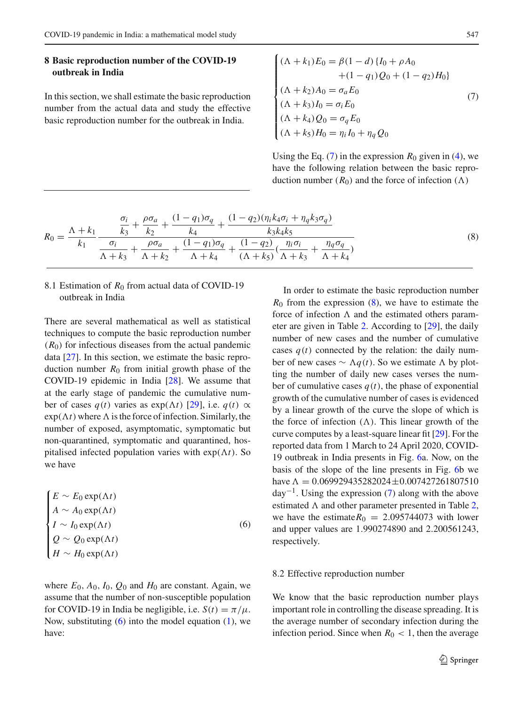## <span id="page-10-0"></span>**8 Basic reproduction number of the COVID-19 outbreak in India**

In this section, we shall estimate the basic reproduction number from the actual data and study the effective basic reproduction number for the outbreak in India.

<span id="page-10-2"></span>
$$
\begin{cases}\n(\Lambda + k_1)E_0 = \beta(1 - d) \{I_0 + \rho A_0 \\
+ (1 - q_1)Q_0 + (1 - q_2)H_0\} \\
(\Lambda + k_2)A_0 = \sigma_a E_0 \\
(\Lambda + k_3)I_0 = \sigma_i E_0 \\
(\Lambda + k_4)Q_0 = \sigma_q E_0 \\
(\Lambda + k_5)H_0 = \eta_i I_0 + \eta_q Q_0\n\end{cases} (7)
$$

<span id="page-10-3"></span>Using the Eq.  $(7)$  in the expression  $R_0$  given in [\(4\)](#page-4-1), we have the following relation between the basic reproduction number  $(R_0)$  and the force of infection  $(\Lambda)$ 

$$
R_0 = \frac{\Lambda + k_1}{k_1} \frac{\frac{\sigma_i}{k_3} + \frac{\rho \sigma_a}{k_2} + \frac{(1 - q_1)\sigma_q}{k_4} + \frac{(1 - q_2)(\eta_i k_4 \sigma_i + \eta_q k_3 \sigma_q)}{k_3 k_4 k_5}}{\frac{\sigma_i}{\Lambda + k_3} + \frac{\rho \sigma_a}{\Lambda + k_2} + \frac{(1 - q_1)\sigma_q}{\Lambda + k_4} + \frac{(1 - q_2)}{(\Lambda + k_5)}(\frac{\eta_i \sigma_i}{\Lambda + k_3} + \frac{\eta_q \sigma_q}{\Lambda + k_4})}
$$
(8)

# 8.1 Estimation of  $R_0$  from actual data of COVID-19 outbreak in India

There are several mathematical as well as statistical techniques to compute the basic reproduction number  $(R<sub>0</sub>)$  for infectious diseases from the actual pandemic data [\[27](#page-16-15)]. In this section, we estimate the basic reproduction number  $R_0$  from initial growth phase of the COVID-19 epidemic in India [\[28\]](#page-16-16). We assume that at the early stage of pandemic the cumulative number of cases  $q(t)$  varies as exp( $\Lambda t$ ) [\[29](#page-16-17)], i.e.  $q(t) \propto$  $exp(\Lambda t)$  where  $\Lambda$  is the force of infection. Similarly, the number of exposed, asymptomatic, symptomatic but non-quarantined, symptomatic and quarantined, hospitalised infected population varies with  $exp(\Lambda t)$ . So we have

<span id="page-10-1"></span>
$$
\begin{cases}\nE \sim E_0 \exp(\Lambda t) \\
A \sim A_0 \exp(\Lambda t) \\
I \sim I_0 \exp(\Lambda t) \\
Q \sim Q_0 \exp(\Lambda t) \\
H \sim H_0 \exp(\Lambda t)\n\end{cases} (6)
$$

where  $E_0$ ,  $A_0$ ,  $I_0$ ,  $Q_0$  and  $H_0$  are constant. Again, we assume that the number of non-susceptible population for COVID-19 in India be negligible, i.e.  $S(t) = \pi/\mu$ . Now, substituting  $(6)$  into the model equation  $(1)$ , we have:

In order to estimate the basic reproduction number  $R_0$  from the expression  $(8)$ , we have to estimate the force of infection  $\Lambda$  and the estimated others parameter are given in Table [2.](#page-7-0) According to [\[29](#page-16-17)], the daily number of new cases and the number of cumulative cases  $q(t)$  connected by the relation: the daily number of new cases  $\sim$  *Λq*(*t*). So we estimate Λ by plotting the number of daily new cases verses the number of cumulative cases  $q(t)$ , the phase of exponential growth of the cumulative number of cases is evidenced by a linear growth of the curve the slope of which is the force of infection  $(\Lambda)$ . This linear growth of the curve computes by a least-square linear fit [\[29](#page-16-17)]. For the reported data from 1 March to 24 April 2020, COVID-19 outbreak in India presents in Fig. [6a](#page-11-1). Now, on the basis of the slope of the line presents in Fig. [6b](#page-11-1) we have  $\Lambda = 0.069929435282024 \pm 0.007427261807510$  $day^{-1}$ . Using the expression [\(7\)](#page-10-2) along with the above estimated  $\Lambda$  and other parameter presented in Table [2,](#page-7-0) we have the estimate $R_0 = 2.095744073$  with lower and upper values are 1.990274890 and 2.200561243, respectively.

### 8.2 Effective reproduction number

We know that the basic reproduction number plays important role in controlling the disease spreading. It is the average number of secondary infection during the infection period. Since when  $R_0 < 1$ , then the average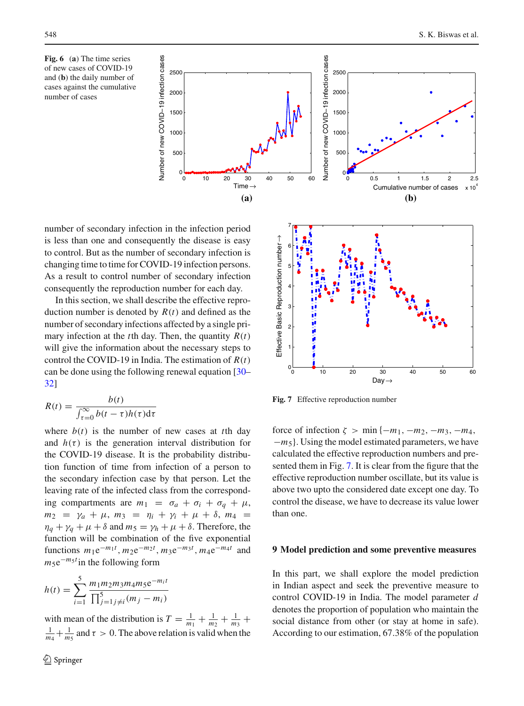<span id="page-11-1"></span>**Fig. 6** (**a**) The time series of new cases of COVID-19 and (**b**) the daily number of cases against the cumulative number of cases

number of secondary infection in the infection period is less than one and consequently the disease is easy to control. But as the number of secondary infection is changing time to time for COVID-19 infection persons. As a result to control number of secondary infection consequently the reproduction number for each day.

In this section, we shall describe the effective reproduction number is denoted by *R*(*t*) and defined as the number of secondary infections affected by a single primary infection at the *t*th day. Then, the quantity  $R(t)$ will give the information about the necessary steps to control the COVID-19 in India. The estimation of *R*(*t*) can be done using the following renewal equation [\[30–](#page-16-18) [32](#page-16-19)]

$$
R(t) = \frac{b(t)}{\int_{\tau=0}^{\infty} b(t-\tau)h(\tau)d\tau}
$$

where  $b(t)$  is the number of new cases at *t*th day and  $h(\tau)$  is the generation interval distribution for the COVID-19 disease. It is the probability distribution function of time from infection of a person to the secondary infection case by that person. Let the leaving rate of the infected class from the corresponding compartments are  $m_1 = \sigma_a + \sigma_i + \sigma_q + \mu$ ,  $m_2 = \gamma_a + \mu$ ,  $m_3 = \eta_i + \gamma_i + \mu + \delta$ ,  $m_4 =$  $\eta_q + \gamma_q + \mu + \delta$  and  $m_5 = \gamma_h + \mu + \delta$ . Therefore, the function will be combination of the five exponential functions  $m_1 e^{-m_1 t}$ ,  $m_2 e^{-m_2 t}$ ,  $m_3 e^{-m_3 t}$ ,  $m_4 e^{-m_4 t}$  and  $m_5 e^{-m_5 t}$  in the following form

$$
h(t) = \sum_{i=1}^{5} \frac{m_1 m_2 m_3 m_4 m_5 e^{-m_i t}}{\prod_{j=1}^{5} j \neq i} (m_j - m_i)
$$

with mean of the distribution is  $T = \frac{1}{m_1} + \frac{1}{m_2} + \frac{1}{m_3} + \cdots$  $\frac{1}{m_4} + \frac{1}{m_5}$  and  $\tau > 0$ . The above relation is valid when the





<span id="page-11-2"></span>**Fig. 7** Effective reproduction number

force of infection  $\zeta$  > min  $\{-m_1, -m_2, -m_3, -m_4,$ −*m*5}. Using the model estimated parameters, we have calculated the effective reproduction numbers and presented them in Fig. [7.](#page-11-2) It is clear from the figure that the effective reproduction number oscillate, but its value is above two upto the considered date except one day. To control the disease, we have to decrease its value lower than one.

#### <span id="page-11-0"></span>**9 Model prediction and some preventive measures**

In this part, we shall explore the model prediction in Indian aspect and seek the preventive measure to control COVID-19 in India. The model parameter *d* denotes the proportion of population who maintain the social distance from other (or stay at home in safe). According to our estimation, 67.38% of the population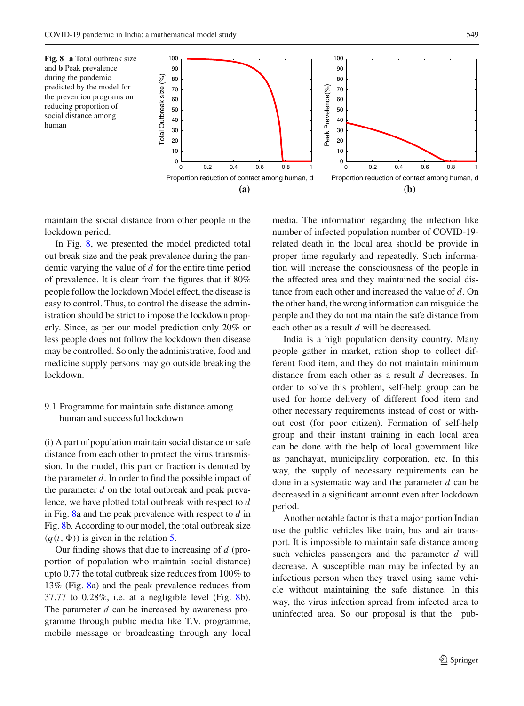<span id="page-12-0"></span>

maintain the social distance from other people in the lockdown period.

In Fig. [8,](#page-12-0) we presented the model predicted total out break size and the peak prevalence during the pandemic varying the value of *d* for the entire time period of prevalence. It is clear from the figures that if 80% people follow the lockdown Model effect, the disease is easy to control. Thus, to control the disease the administration should be strict to impose the lockdown properly. Since, as per our model prediction only 20% or less people does not follow the lockdown then disease may be controlled. So only the administrative, food and medicine supply persons may go outside breaking the lockdown.

# 9.1 Programme for maintain safe distance among human and successful lockdown

(i) A part of population maintain social distance or safe distance from each other to protect the virus transmission. In the model, this part or fraction is denoted by the parameter *d*. In order to find the possible impact of the parameter *d* on the total outbreak and peak prevalence, we have plotted total outbreak with respect to *d* in Fig. [8a](#page-12-0) and the peak prevalence with respect to *d* in Fig. [8b](#page-12-0). According to our model, the total outbreak size  $(q(t, \Phi))$  is given in the relation [5.](#page-6-1)

Our finding shows that due to increasing of *d* (proportion of population who maintain social distance) upto 0.77 the total outbreak size reduces from 100% to 13% (Fig. [8a](#page-12-0)) and the peak prevalence reduces from 37.77 to  $0.28\%$ , i.e. at a negligible level (Fig. [8b](#page-12-0)). The parameter *d* can be increased by awareness programme through public media like T.V. programme, mobile message or broadcasting through any local media. The information regarding the infection like number of infected population number of COVID-19 related death in the local area should be provide in proper time regularly and repeatedly. Such information will increase the consciousness of the people in the affected area and they maintained the social distance from each other and increased the value of *d*. On the other hand, the wrong information can misguide the people and they do not maintain the safe distance from each other as a result *d* will be decreased.

India is a high population density country. Many people gather in market, ration shop to collect different food item, and they do not maintain minimum distance from each other as a result *d* decreases. In order to solve this problem, self-help group can be used for home delivery of different food item and other necessary requirements instead of cost or without cost (for poor citizen). Formation of self-help group and their instant training in each local area can be done with the help of local government like as panchayat, municipality corporation, etc. In this way, the supply of necessary requirements can be done in a systematic way and the parameter *d* can be decreased in a significant amount even after lockdown period.

Another notable factor is that a major portion Indian use the public vehicles like train, bus and air transport. It is impossible to maintain safe distance among such vehicles passengers and the parameter *d* will decrease. A susceptible man may be infected by an infectious person when they travel using same vehicle without maintaining the safe distance. In this way, the virus infection spread from infected area to uninfected area. So our proposal is that the pub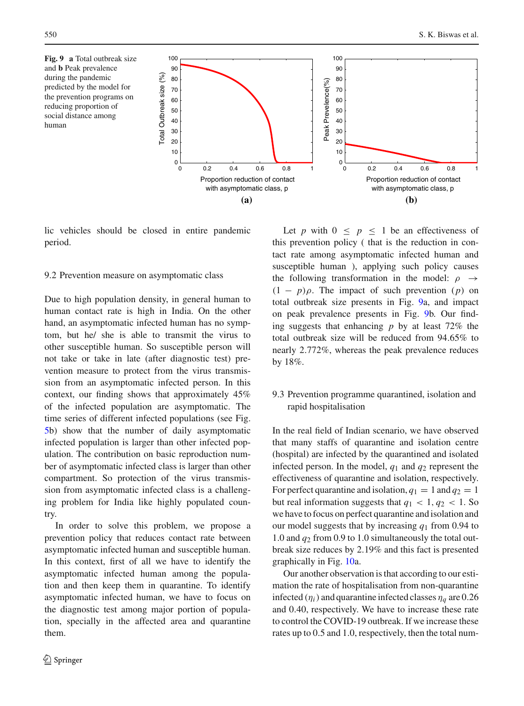human

<span id="page-13-0"></span>

lic vehicles should be closed in entire pandemic period.

#### 9.2 Prevention measure on asymptomatic class

Due to high population density, in general human to human contact rate is high in India. On the other hand, an asymptomatic infected human has no symptom, but he/ she is able to transmit the virus to other susceptible human. So susceptible person will not take or take in late (after diagnostic test) prevention measure to protect from the virus transmission from an asymptomatic infected person. In this context, our finding shows that approximately 45% of the infected population are asymptomatic. The time series of different infected populations (see Fig. [5b](#page-9-2)) show that the number of daily asymptomatic infected population is larger than other infected population. The contribution on basic reproduction number of asymptomatic infected class is larger than other compartment. So protection of the virus transmission from asymptomatic infected class is a challenging problem for India like highly populated country.

In order to solve this problem, we propose a prevention policy that reduces contact rate between asymptomatic infected human and susceptible human. In this context, first of all we have to identify the asymptomatic infected human among the population and then keep them in quarantine. To identify asymptomatic infected human, we have to focus on the diagnostic test among major portion of population, specially in the affected area and quarantine them.

Let *p* with  $0 \leq p \leq 1$  be an effectiveness of this prevention policy ( that is the reduction in contact rate among asymptomatic infected human and susceptible human ), applying such policy causes the following transformation in the model:  $\rho \rightarrow$  $(1 - p)\rho$ . The impact of such prevention (*p*) on total outbreak size presents in Fig. [9a](#page-13-0), and impact on peak prevalence presents in Fig. [9b](#page-13-0). Our finding suggests that enhancing *p* by at least 72% the total outbreak size will be reduced from 94.65% to nearly 2.772%, whereas the peak prevalence reduces by 18%.

# 9.3 Prevention programme quarantined, isolation and rapid hospitalisation

In the real field of Indian scenario, we have observed that many staffs of quarantine and isolation centre (hospital) are infected by the quarantined and isolated infected person. In the model,  $q_1$  and  $q_2$  represent the effectiveness of quarantine and isolation, respectively. For perfect quarantine and isolation,  $q_1 = 1$  and  $q_2 = 1$ but real information suggests that  $q_1 < 1, q_2 < 1$ . So we have to focus on perfect quarantine and isolation and our model suggests that by increasing *q*<sup>1</sup> from 0.94 to 1.0 and *q*<sup>2</sup> from 0.9 to 1.0 simultaneously the total outbreak size reduces by 2.19% and this fact is presented graphically in Fig. [10a](#page-14-1).

Our another observation is that according to our estimation the rate of hospitalisation from non-quarantine infected  $(\eta_i)$  and quarantine infected classes  $\eta_a$  are 0.26 and 0.40, respectively. We have to increase these rate to control the COVID-19 outbreak. If we increase these rates up to 0.5 and 1.0, respectively, then the total num-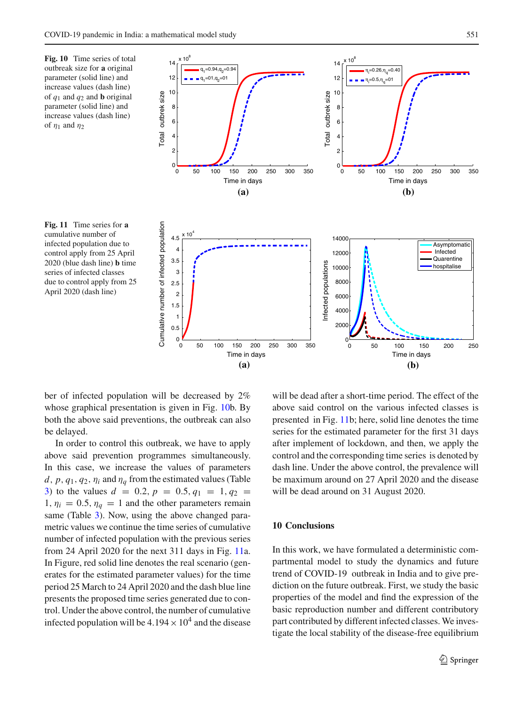<span id="page-14-1"></span>

**(a)**

<span id="page-14-2"></span>ber of infected population will be decreased by 2% whose graphical presentation is given in Fig. [10b](#page-14-1). By both the above said preventions, the outbreak can also be delayed.

In order to control this outbreak, we have to apply above said prevention programmes simultaneously. In this case, we increase the values of parameters *d*,  $p$ ,  $q_1$ ,  $q_2$ ,  $\eta_i$  and  $\eta_q$  from the estimated values (Table [3\)](#page-7-1) to the values  $d = 0.2$ ,  $p = 0.5$ ,  $q_1 = 1$ ,  $q_2 =$ 1,  $\eta_i = 0.5$ ,  $\eta_q = 1$  and the other parameters remain same (Table [3\)](#page-7-1). Now, using the above changed parametric values we continue the time series of cumulative number of infected population with the previous series from 24 April 2020 for the next 311 days in Fig. [11a](#page-14-2). In Figure, red solid line denotes the real scenario (generates for the estimated parameter values) for the time period 25 March to 24 April 2020 and the dash blue line presents the proposed time series generated due to control. Under the above control, the number of cumulative infected population will be  $4.194 \times 10^4$  and the disease

will be dead after a short-time period. The effect of the above said control on the various infected classes is presented in Fig. [11b](#page-14-2); here, solid line denotes the time series for the estimated parameter for the first 31 days after implement of lockdown, and then, we apply the control and the corresponding time series is denoted by dash line. Under the above control, the prevalence will be maximum around on 27 April 2020 and the disease will be dead around on 31 August 2020.

**(b)**

## <span id="page-14-0"></span>**10 Conclusions**

In this work, we have formulated a deterministic compartmental model to study the dynamics and future trend of COVID-19 outbreak in India and to give prediction on the future outbreak. First, we study the basic properties of the model and find the expression of the basic reproduction number and different contributory part contributed by different infected classes. We investigate the local stability of the disease-free equilibrium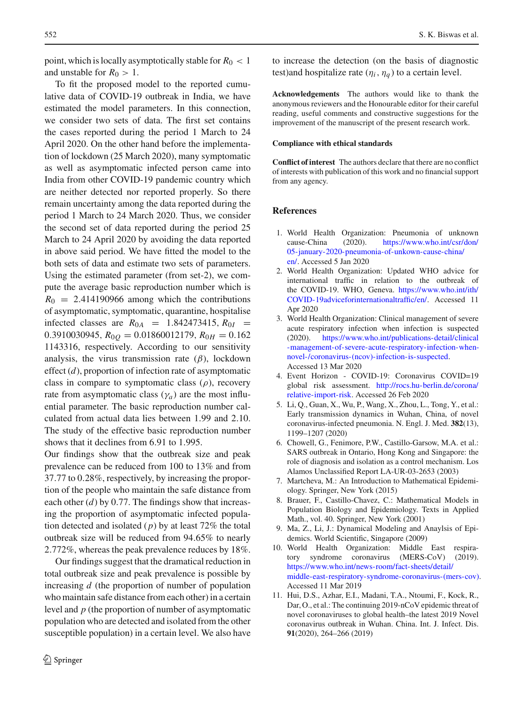point, which is locally asymptotically stable for  $R_0 < 1$ and unstable for  $R_0 > 1$ .

To fit the proposed model to the reported cumulative data of COVID-19 outbreak in India, we have estimated the model parameters. In this connection, we consider two sets of data. The first set contains the cases reported during the period 1 March to 24 April 2020. On the other hand before the implementation of lockdown (25 March 2020), many symptomatic as well as asymptomatic infected person came into India from other COVID-19 pandemic country which are neither detected nor reported properly. So there remain uncertainty among the data reported during the period 1 March to 24 March 2020. Thus, we consider the second set of data reported during the period 25 March to 24 April 2020 by avoiding the data reported in above said period. We have fitted the model to the both sets of data and estimate two sets of parameters. Using the estimated parameter (from set-2), we compute the average basic reproduction number which is  $R_0 = 2.414190966$  among which the contributions of asymptomatic, symptomatic, quarantine, hospitalise infected classes are  $R_{0A} = 1.842473415$ ,  $R_{0I} =$ 0.3910030945,  $R_{0Q} = 0.01860012179$ ,  $R_{0H} = 0.162$ 1143316, respectively. According to our sensitivity analysis, the virus transmission rate  $(\beta)$ , lockdown effect (*d*), proportion of infection rate of asymptomatic class in compare to symptomatic class  $(\rho)$ , recovery rate from asymptomatic class  $(\gamma_a)$  are the most influential parameter. The basic reproduction number calculated from actual data lies between 1.99 and 2.10. The study of the effective basic reproduction number shows that it declines from 6.91 to 1.995.

Our findings show that the outbreak size and peak prevalence can be reduced from 100 to 13% and from 37.77 to 0.28%, respectively, by increasing the proportion of the people who maintain the safe distance from each other (*d*) by 0.77. The findings show that increasing the proportion of asymptomatic infected population detected and isolated (*p*) by at least 72% the total outbreak size will be reduced from 94.65% to nearly 2.772%, whereas the peak prevalence reduces by 18%.

Our findings suggest that the dramatical reduction in total outbreak size and peak prevalence is possible by increasing *d* (the proportion of number of population who maintain safe distance from each other) in a certain level and *p* (the proportion of number of asymptomatic population who are detected and isolated from the other susceptible population) in a certain level. We also have

to increase the detection (on the basis of diagnostic test)and hospitalize rate  $(\eta_i, \eta_a)$  to a certain level.

**Acknowledgements** The authors would like to thank the anonymous reviewers and the Honourable editor for their careful reading, useful comments and constructive suggestions for the improvement of the manuscript of the present research work.

## **Compliance with ethical standards**

**Conflict of interest** The authors declare that there are no conflict of interests with publication of this work and no financial support from any agency.

## **References**

- <span id="page-15-0"></span>1. World Health Organization: Pneumonia of unknown cause-China (2020). [https://www.who.int/csr/don/](https://www.who.int/csr/don/05-january-2020-pneumonia-of-unkown-cause-china/en/) [05-january-2020-pneumonia-of-unkown-cause-china/](https://www.who.int/csr/don/05-january-2020-pneumonia-of-unkown-cause-china/en/) [en/.](https://www.who.int/csr/don/05-january-2020-pneumonia-of-unkown-cause-china/en/) Accessed 5 Jan 2020
- <span id="page-15-6"></span>2. World Health Organization: Updated WHO advice for international traffic in relation to the outbreak of the COVID-19. WHO, Geneva. [https://www.who.int/ith/](https://www.who.int/ith/COVID-19adviceforinternational traffic/en/) [COVID-19adviceforinternationaltraffic/en/.](https://www.who.int/ith/COVID-19adviceforinternational traffic/en/) Accessed 11 Apr 2020
- 3. World Health Organization: Clinical management of severe acute respiratory infection when infection is suspected (2020). [https://www.who.int/publications-detail/clinical](https://www.who.int/publications-detail/clinical-management-of-severe-acute-respiratory-infection-when-novel-/coronavirus-(ncov)-infection-is-suspected) [-management-of-severe-acute-respiratory-infection-when](https://www.who.int/publications-detail/clinical-management-of-severe-acute-respiratory-infection-when-novel-/coronavirus-(ncov)-infection-is-suspected)[novel-/coronavirus-\(ncov\)-infection-is-suspected.](https://www.who.int/publications-detail/clinical-management-of-severe-acute-respiratory-infection-when-novel-/coronavirus-(ncov)-infection-is-suspected) Accessed 13 Mar 2020
- 4. Event Horizon COVID-19: Coronavirus COVID=19 global risk assessment. [http://rocs.hu-berlin.de/corona/](http://rocs.hu-berlin.de/corona/relative-import-risk) [relative-import-risk.](http://rocs.hu-berlin.de/corona/relative-import-risk) Accessed 26 Feb 2020
- <span id="page-15-1"></span>5. Li, Q., Guan, X., Wu, P., Wang, X., Zhou, L., Tong, Y., et al.: Early transmission dynamics in Wuhan, China, of novel coronavirus-infected pneumonia. N. Engl. J. Med. **382**(13), 1199–1207 (2020)
- <span id="page-15-2"></span>6. Chowell, G., Fenimore, P.W., Castillo-Garsow, M.A. et al.: SARS outbreak in Ontario, Hong Kong and Singapore: the role of diagnosis and isolation as a control mechanism. Los Alamos Unclassified Report LA-UR-03-2653 (2003)
- <span id="page-15-3"></span>7. Martcheva, M.: An Introduction to Mathematical Epidemiology. Springer, New York (2015)
- 8. Brauer, F., Castillo-Chavez, C.: Mathematical Models in Population Biology and Epidemiology. Texts in Applied Math., vol. 40. Springer, New York (2001)
- 9. Ma, Z., Li, J.: Dynamical Modeling and Anaylsis of Epidemics. World Scientific, Singapore (2009)
- <span id="page-15-4"></span>10. World Health Organization: Middle East respiratory syndrome coronavirus (MERS-CoV) (2019). [https://www.who.int/news-room/fact-sheets/detail/](https://www.who.int/news-room/fact-sheets/detail/middle-east-respiratory-syndrome-coronavirus-(mers-cov)) [middle-east-respiratory-syndrome-coronavirus-\(mers-cov\).](https://www.who.int/news-room/fact-sheets/detail/middle-east-respiratory-syndrome-coronavirus-(mers-cov)) Accessed 11 Mar 2019
- <span id="page-15-5"></span>11. Hui, D.S., Azhar, E.I., Madani, T.A., Ntoumi, F., Kock, R., Dar, O., et al.: The continuing 2019-nCoV epidemic threat of novel coronaviruses to global health–the latest 2019 Novel coronavirus outbreak in Wuhan. China. Int. J. Infect. Dis. **91**(2020), 264–266 (2019)